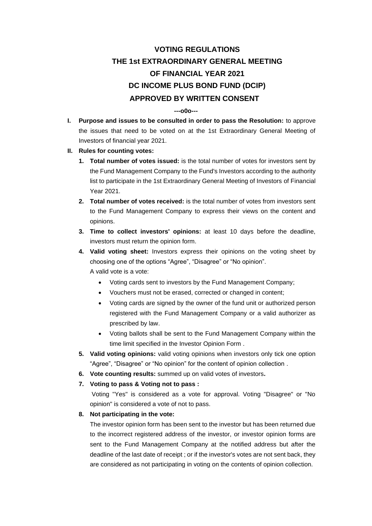## **VOTING REGULATIONS THE 1st EXTRAORDINARY GENERAL MEETING OF FINANCIAL YEAR 2021 DC INCOME PLUS BOND FUND (DCIP) APPROVED BY WRITTEN CONSENT**

## **---o0o---**

- **I. Purpose and issues to be consulted in order to pass the Resolution:** to approve the issues that need to be voted on at the 1st Extraordinary General Meeting of Investors of financial year 2021.
- **II. Rules for counting votes:**
	- **1. Total number of votes issued:** is the total number of votes for investors sent by the Fund Management Company to the Fund's Investors according to the authority list to participate in the 1st Extraordinary General Meeting of Investors of Financial Year 2021.
	- **2. Total number of votes received:** is the total number of votes from investors sent to the Fund Management Company to express their views on the content and opinions.
	- **3. Time to collect investors' opinions:** at least 10 days before the deadline, investors must return the opinion form.
	- **4. Valid voting sheet:** Investors express their opinions on the voting sheet by choosing one of the options "Agree", "Disagree" or "No opinion". A valid vote is a vote:
		- Voting cards sent to investors by the Fund Management Company;
		- Vouchers must not be erased, corrected or changed in content;
		- Voting cards are signed by the owner of the fund unit or authorized person registered with the Fund Management Company or a valid authorizer as prescribed by law.
		- Voting ballots shall be sent to the Fund Management Company within the time limit specified in the Investor Opinion Form .
	- **5. Valid voting opinions:** valid voting opinions when investors only tick one option "Agree", "Disagree" or "No opinion" for the content of opinion collection .
	- **6. Vote counting results:** summed up on valid votes of investors**.**
	- **7. Voting to pass & Voting not to pass :**

Voting "Yes" is considered as a vote for approval. Voting "Disagree" or "No opinion" is considered a vote of not to pass.

## **8. Not participating in the vote:**

The investor opinion form has been sent to the investor but has been returned due to the incorrect registered address of the investor, or investor opinion forms are sent to the Fund Management Company at the notified address but after the deadline of the last date of receipt ; or if the investor's votes are not sent back, they are considered as not participating in voting on the contents of opinion collection.